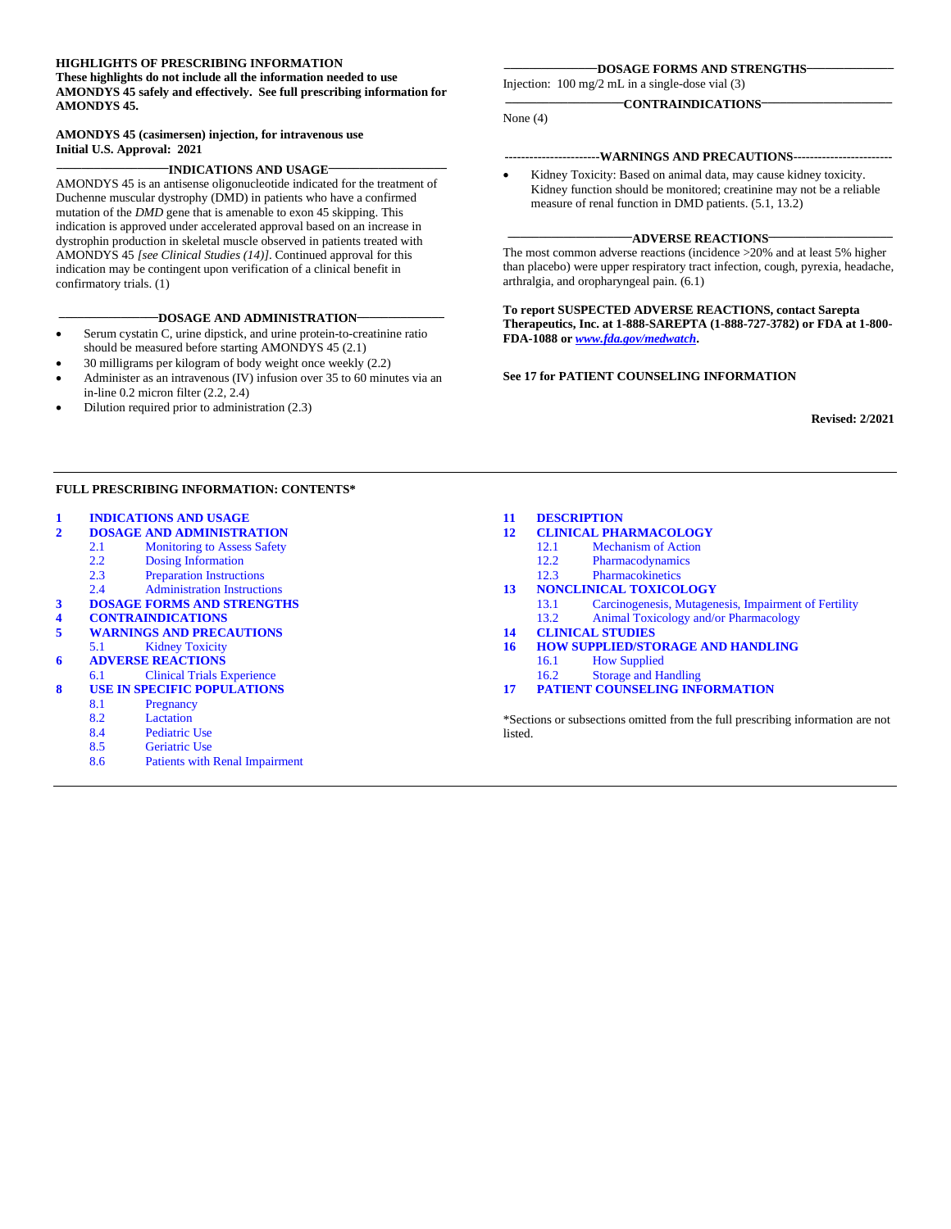#### **HIGHLIGHTS OF PRESCRIBING INFORMATION**

**These highlights do not include all the information needed to use AMONDYS 45 safely and effectively. See full prescribing information for AMONDYS 45.**

#### **AMONDYS 45 (casimersen) injection, for intravenous use Initial U.S. Approval: 2021**

#### **\_\_\_\_\_\_\_\_\_\_\_\_\_\_\_\_\_\_INDICATIONS AND USAGE\_\_\_\_\_\_\_\_\_\_\_\_\_\_\_\_\_\_\_**

AMONDYS 45 is an antisense oligonucleotide indicated for the treatment of Duchenne muscular dystrophy (DMD) in patients who have a confirmed mutation of the *DMD* gene that is amenable to exon 45 skipping. This indication is approved under accelerated approval based on an increase in dystrophin production in skeletal muscle observed in patients treated with AMONDYS 45 *[see Clinical Studies (14)]*. Continued approval for this indication may be contingent upon verification of a clinical benefit in confirmatory trials. (1)

#### **\_\_\_\_\_\_\_\_\_\_\_\_\_\_\_\_DOSAGE AND ADMINISTRATION\_\_\_\_\_\_\_\_\_\_\_\_\_\_**

- Serum cystatin C, urine dipstick, and urine protein-to-creatinine ratio should be measured before starting AMONDYS 45 (2.1)
- 30 milligrams per kilogram of body weight once weekly (2.2)
- Administer as an intravenous (IV) infusion over 35 to 60 minutes via an in-line 0.2 micron filter (2.2, 2.4)
- Dilution required prior to administration (2.3)

#### **\_\_\_\_\_\_\_\_\_\_\_\_\_\_\_DOSAGE FORMS AND STRENGTHS\_\_\_\_\_\_\_\_\_\_\_\_\_\_**

**\_\_\_\_\_\_\_\_\_\_\_\_\_\_\_\_\_\_\_CONTRAINDICATIONS\_\_\_\_\_\_\_\_\_\_\_\_\_\_\_\_\_\_\_\_\_**

Injection: 100 mg/2 mL in a single-dose vial (3)

None (4)

- **-----------------------WARNINGS AND PRECAUTIONS------------------------**
- Kidney Toxicity: Based on animal data, may cause kidney toxicity. Kidney function should be monitored; creatinine may not be a reliable measure of renal function in DMD patients. (5.1, 13.2)

#### **ADVERSE REACTIONS**

The most common adverse reactions (incidence >20% and at least 5% higher than placebo) were upper respiratory tract infection, cough, pyrexia, headache, arthralgia, and oropharyngeal pain. (6.1)

**To report SUSPECTED ADVERSE REACTIONS, contact Sarepta Therapeutics, Inc. at 1-888-SAREPTA (1-888-727-3782) or FDA at 1-800- FDA-1088 or** *[www.fda.gov/medwatch](http://www.fda.gov/medwatch)***.**

#### **See 17 for PATIENT COUNSELING INFORMATION**

**Revised: 2/2021**

#### **FULL PRESCRIBING INFORMATION: CONTENTS\***

# **1 [INDICATIONS AND USAGE](#page-1-0)**

- **2 [DOSAGE AND ADMINISTRATION](#page-1-1)**
- 2.1 [Monitoring to Assess Safety](#page-1-2)<br>2.2 Dosing Information
- 2.2 [Dosing Information](#page-1-3)<br>2.3 Preparation Instruction
- 2.3 [Preparation Instructions](#page-1-4)<br>2.4 Administration Instruction
- [Administration Instructions](#page-2-0)
- **[3 DOSAGE FORMS AND STRENGTHS](#page-2-1)**
- **4 [CONTRAINDICATIONS](#page-2-2)**
- **5 [WARNINGS AND PRECAUTIONS](#page-3-0)** 5.1 [Kidney](#page-3-1) Toxicity
- **6 [ADVERSE REACTIONS](#page-3-2)**
- [6.1 Clinical Trials Experience](#page-3-3)
- **8 [USE IN SPECIFIC POPULATIONS](#page-4-0)**
	- 8.1 [Pregnancy](#page-4-1)
		-
		- 8.2 [Lactation](#page-4-2)<br>8.4 Pediatric 8.4 [Pediatric Use](#page-5-0)<br>8.5 Geriatric Use
		- [Geriatric Use](#page-5-1)
		- 8.6 [Patients with Renal Impairment](#page-5-2)

#### **11 [DESCRIPTION](#page-5-3)**

- **12 [CLINICAL PHARMACOLOGY](#page-7-0)**
	- 12.1 [Mechanism of Action](#page-7-1)<br>12.2 Pharmacodynamics
	- 12.2 [Pharmacodynamics](#page-7-2)<br>12.3 Pharmacokinetics
	- **[Pharmacokinetics](#page-7-3)**
- **13 [NONCLINICAL TOXICOLOGY](#page-9-0)** 13.1 [Carcinogenesis, Mutagenesis, Impairment of Fertility](#page-9-1)
	- 13.2 [Animal Toxicology and/or Pharmacology](#page-9-2)
- 
- **14 [CLINICAL STUDIES](#page-9-3) 16 [HOW SUPPLIED/STORAGE AND HANDLING](#page-11-0)**
	- [16.1 How Supplied](#page-11-1)
	- [16.2 Storage and Handling](#page-11-2)
- **17 [PATIENT COUNSELING INFORMATION](#page-11-3)**

\*Sections or subsections omitted from the full prescribing information are not listed.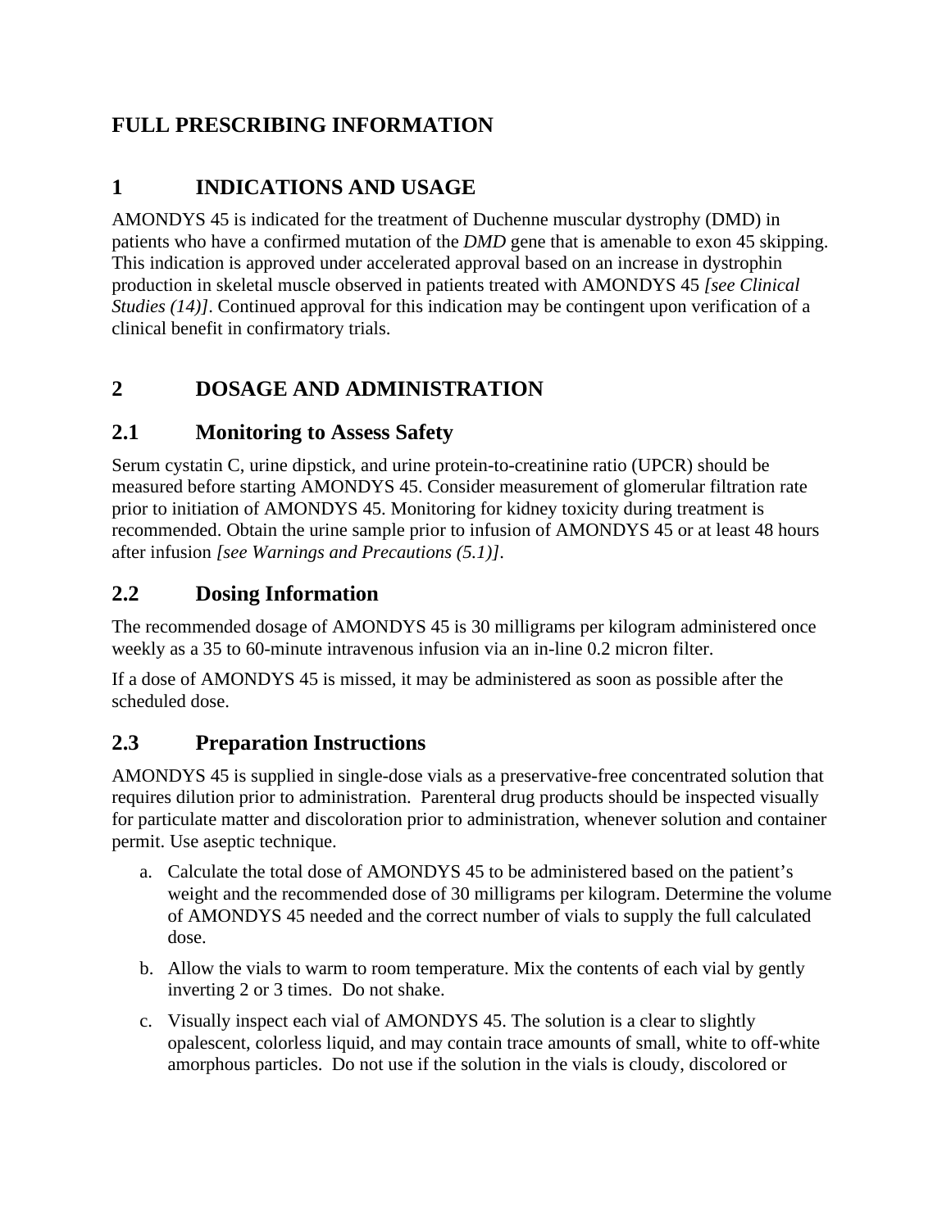# **FULL PRESCRIBING INFORMATION**

# <span id="page-1-0"></span>**1 INDICATIONS AND USAGE**

AMONDYS 45 is indicated for the treatment of Duchenne muscular dystrophy (DMD) in patients who have a confirmed mutation of the *DMD* gene that is amenable to exon 45 skipping. This indication is approved under accelerated approval based on an increase in dystrophin production in skeletal muscle observed in patients treated with AMONDYS 45 *[see Clinical Studies (14)]*. Continued approval for this indication may be contingent upon verification of a clinical benefit in confirmatory trials.

# <span id="page-1-1"></span>**2 DOSAGE AND ADMINISTRATION**

## <span id="page-1-2"></span>**2.1 Monitoring to Assess Safety**

Serum cystatin C, urine dipstick, and urine protein-to-creatinine ratio (UPCR) should be measured before starting AMONDYS 45. Consider measurement of glomerular filtration rate prior to initiation of AMONDYS 45. Monitoring for kidney toxicity during treatment is recommended. Obtain the urine sample prior to infusion of AMONDYS 45 or at least 48 hours after infusion *[see Warnings and Precautions (5.1)]*.

## <span id="page-1-3"></span>**2.2 Dosing Information**

The recommended dosage of AMONDYS 45 is 30 milligrams per kilogram administered once weekly as a 35 to 60-minute intravenous infusion via an in-line 0.2 micron filter.

If a dose of AMONDYS 45 is missed, it may be administered as soon as possible after the scheduled dose.

### <span id="page-1-4"></span>**2.3 Preparation Instructions**

AMONDYS 45 is supplied in single-dose vials as a preservative-free concentrated solution that requires dilution prior to administration. Parenteral drug products should be inspected visually for particulate matter and discoloration prior to administration, whenever solution and container permit. Use aseptic technique.

- a. Calculate the total dose of AMONDYS 45 to be administered based on the patient's weight and the recommended dose of 30 milligrams per kilogram. Determine the volume of AMONDYS 45 needed and the correct number of vials to supply the full calculated dose.
- b. Allow the vials to warm to room temperature. Mix the contents of each vial by gently inverting 2 or 3 times. Do not shake.
- c. Visually inspect each vial of AMONDYS 45. The solution is a clear to slightly opalescent, colorless liquid, and may contain trace amounts of small, white to off-white amorphous particles. Do not use if the solution in the vials is cloudy, discolored or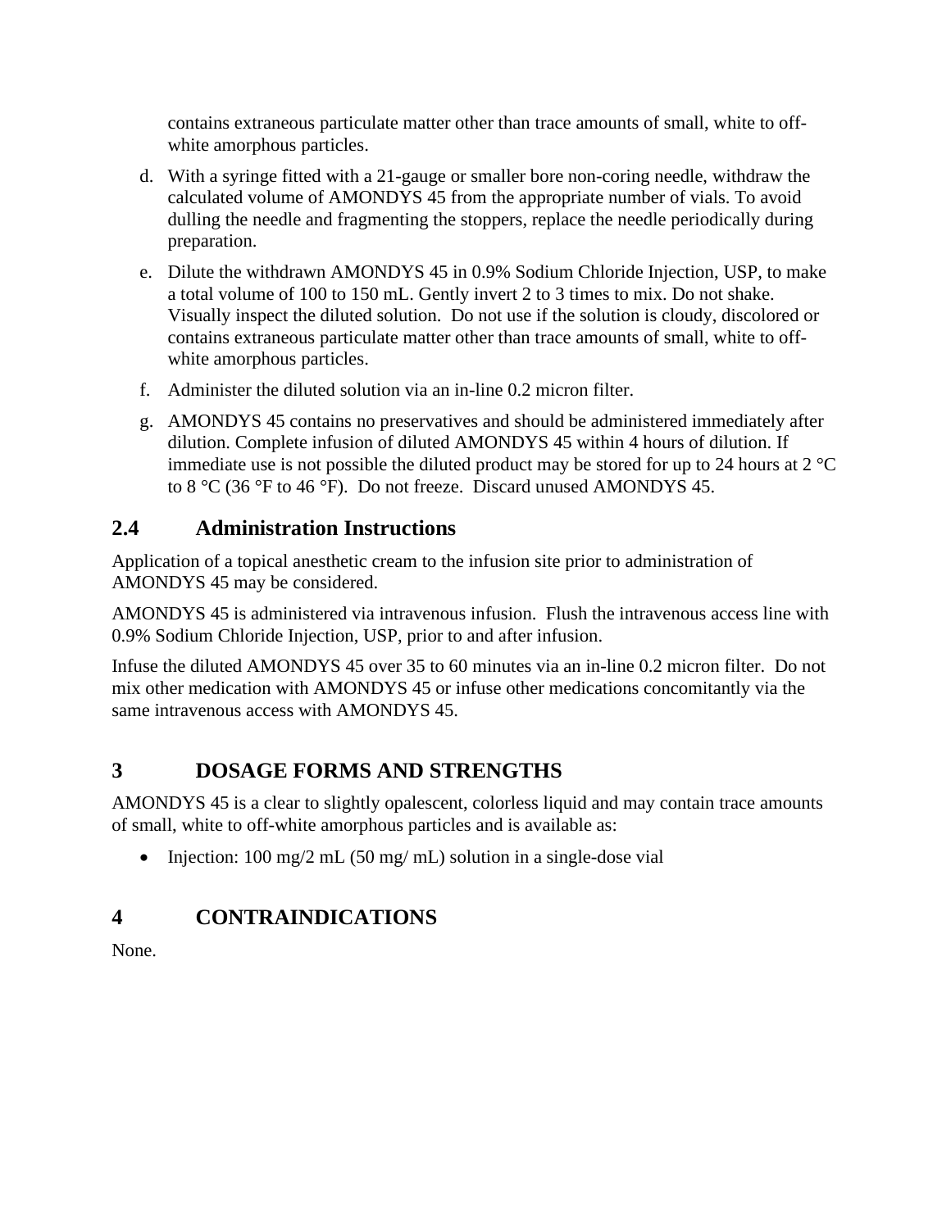contains extraneous particulate matter other than trace amounts of small, white to offwhite amorphous particles.

- d. With a syringe fitted with a 21-gauge or smaller bore non-coring needle, withdraw the calculated volume of AMONDYS 45 from the appropriate number of vials. To avoid dulling the needle and fragmenting the stoppers, replace the needle periodically during preparation.
- e. Dilute the withdrawn AMONDYS 45 in 0.9% Sodium Chloride Injection, USP, to make a total volume of 100 to 150 mL. Gently invert 2 to 3 times to mix. Do not shake. Visually inspect the diluted solution. Do not use if the solution is cloudy, discolored or contains extraneous particulate matter other than trace amounts of small, white to offwhite amorphous particles.
- f. Administer the diluted solution via an in-line 0.2 micron filter.
- g. AMONDYS 45 contains no preservatives and should be administered immediately after dilution. Complete infusion of diluted AMONDYS 45 within 4 hours of dilution. If immediate use is not possible the diluted product may be stored for up to 24 hours at  $2^{\circ}C$ to 8 °C (36 °F to 46 °F). Do not freeze. Discard unused AMONDYS 45.

## <span id="page-2-0"></span>**2.4 Administration Instructions**

Application of a topical anesthetic cream to the infusion site prior to administration of AMONDYS 45 may be considered.

AMONDYS 45 is administered via intravenous infusion. Flush the intravenous access line with 0.9% Sodium Chloride Injection, USP, prior to and after infusion.

Infuse the diluted AMONDYS 45 over 35 to 60 minutes via an in-line 0.2 micron filter. Do not mix other medication with AMONDYS 45 or infuse other medications concomitantly via the same intravenous access with AMONDYS 45.

# <span id="page-2-1"></span>**3 DOSAGE FORMS AND STRENGTHS**

AMONDYS 45 is a clear to slightly opalescent, colorless liquid and may contain trace amounts of small, white to off-white amorphous particles and is available as:

• Injection: 100 mg/2 mL (50 mg/ mL) solution in a single-dose vial

# <span id="page-2-2"></span>**4 CONTRAINDICATIONS**

None.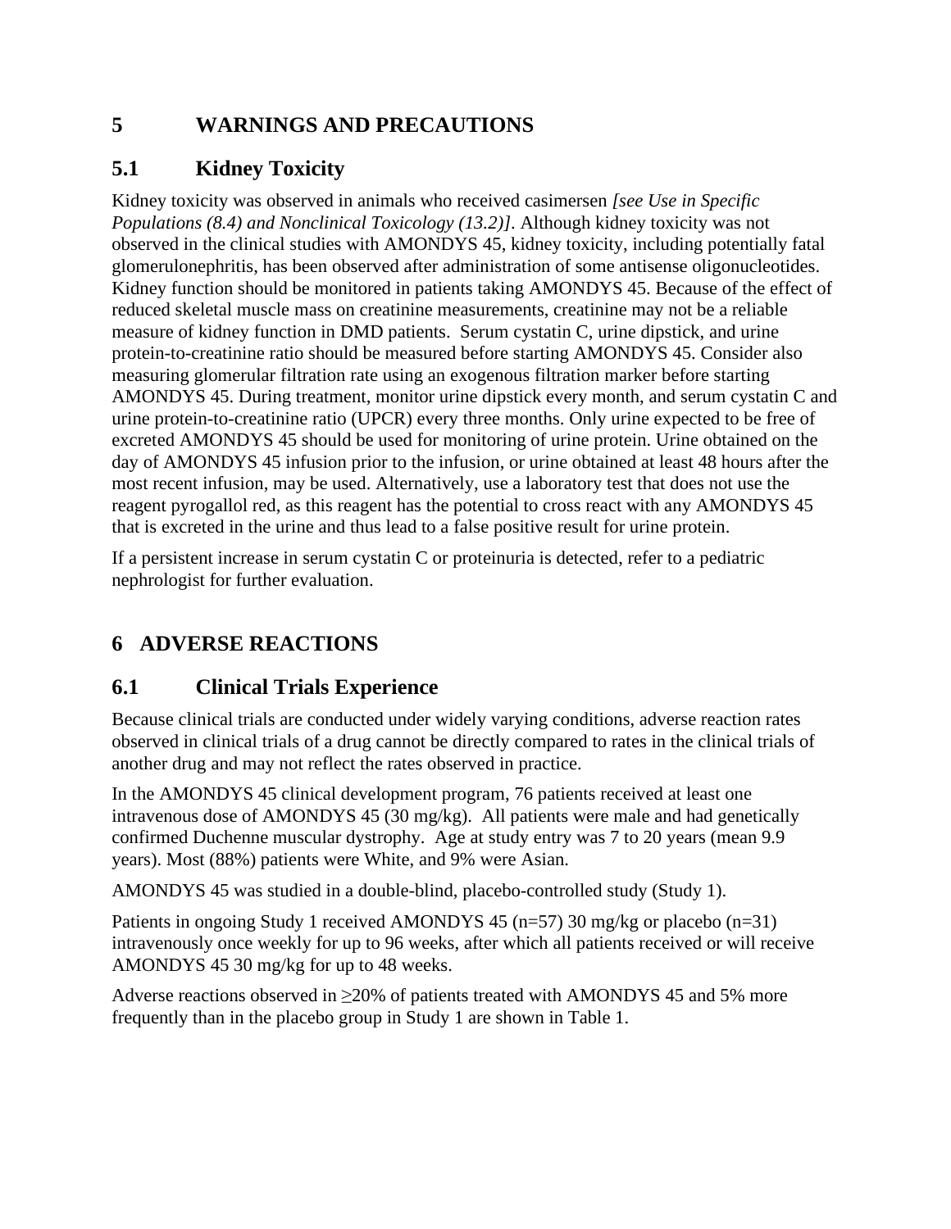## <span id="page-3-0"></span>**5 WARNINGS AND PRECAUTIONS**

## <span id="page-3-1"></span>**5.1 Kidney Toxicity**

Kidney toxicity was observed in animals who received casimersen *[see Use in Specific Populations (8.4) and Nonclinical Toxicology (13.2)]*. Although kidney toxicity was not observed in the clinical studies with AMONDYS 45, kidney toxicity, including potentially fatal glomerulonephritis, has been observed after administration of some antisense oligonucleotides. Kidney function should be monitored in patients taking AMONDYS 45. Because of the effect of reduced skeletal muscle mass on creatinine measurements, creatinine may not be a reliable measure of kidney function in DMD patients. Serum cystatin C, urine dipstick, and urine protein-to-creatinine ratio should be measured before starting AMONDYS 45. Consider also measuring glomerular filtration rate using an exogenous filtration marker before starting AMONDYS 45. During treatment, monitor urine dipstick every month, and serum cystatin C and urine protein-to-creatinine ratio (UPCR) every three months. Only urine expected to be free of excreted AMONDYS 45 should be used for monitoring of urine protein. Urine obtained on the day of AMONDYS 45 infusion prior to the infusion, or urine obtained at least 48 hours after the most recent infusion, may be used. Alternatively, use a laboratory test that does not use the reagent pyrogallol red, as this reagent has the potential to cross react with any AMONDYS 45 that is excreted in the urine and thus lead to a false positive result for urine protein.

If a persistent increase in serum cystatin C or proteinuria is detected, refer to a pediatric nephrologist for further evaluation.

# <span id="page-3-2"></span>**6 ADVERSE REACTIONS**

## <span id="page-3-3"></span>**6.1 Clinical Trials Experience**

Because clinical trials are conducted under widely varying conditions, adverse reaction rates observed in clinical trials of a drug cannot be directly compared to rates in the clinical trials of another drug and may not reflect the rates observed in practice.

In the AMONDYS 45 clinical development program, 76 patients received at least one intravenous dose of AMONDYS 45 (30 mg/kg). All patients were male and had genetically confirmed Duchenne muscular dystrophy. Age at study entry was 7 to 20 years (mean 9.9 years). Most (88%) patients were White, and 9% were Asian.

AMONDYS 45 was studied in a double-blind, placebo-controlled study (Study 1).

Patients in ongoing Study 1 received AMONDYS 45 (n=57) 30 mg/kg or placebo (n=31) intravenously once weekly for up to 96 weeks, after which all patients received or will receive AMONDYS 45 30 mg/kg for up to 48 weeks.

Adverse reactions observed in  $\geq$  20% of patients treated with AMONDYS 45 and 5% more frequently than in the placebo group in Study 1 are shown in Table 1.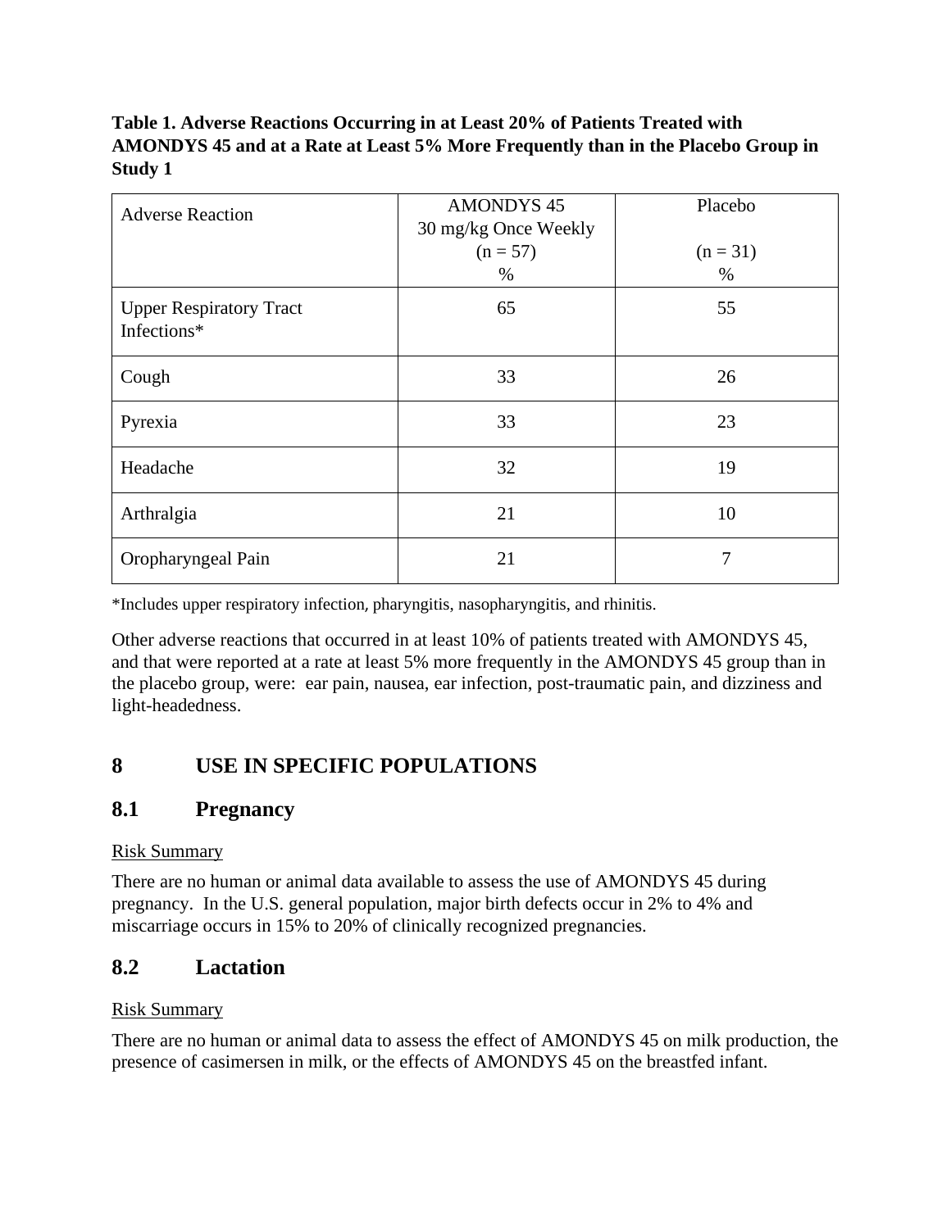### **Table 1. Adverse Reactions Occurring in at Least 20% of Patients Treated with AMONDYS 45 and at a Rate at Least 5% More Frequently than in the Placebo Group in Study 1**

| <b>Adverse Reaction</b>                       | <b>AMONDYS 45</b><br>30 mg/kg Once Weekly | Placebo    |
|-----------------------------------------------|-------------------------------------------|------------|
|                                               | $(n = 57)$                                | $(n = 31)$ |
|                                               | $\%$                                      | $\%$       |
| <b>Upper Respiratory Tract</b><br>Infections* | 65                                        | 55         |
| Cough                                         | 33                                        | 26         |
| Pyrexia                                       | 33                                        | 23         |
| Headache                                      | 32                                        | 19         |
| Arthralgia                                    | 21                                        | 10         |
| Oropharyngeal Pain                            | 21                                        | 7          |

\*Includes upper respiratory infection, pharyngitis, nasopharyngitis, and rhinitis.

Other adverse reactions that occurred in at least 10% of patients treated with AMONDYS 45, and that were reported at a rate at least 5% more frequently in the AMONDYS 45 group than in the placebo group, were: ear pain, nausea, ear infection, post-traumatic pain, and dizziness and light-headedness.

## <span id="page-4-0"></span>**8 USE IN SPECIFIC POPULATIONS**

### <span id="page-4-1"></span>**8.1 Pregnancy**

#### Risk Summary

There are no human or animal data available to assess the use of AMONDYS 45 during pregnancy. In the U.S. general population, major birth defects occur in 2% to 4% and miscarriage occurs in 15% to 20% of clinically recognized pregnancies.

### <span id="page-4-2"></span>**8.2 Lactation**

#### Risk Summary

There are no human or animal data to assess the effect of AMONDYS 45 on milk production, the presence of casimersen in milk, or the effects of AMONDYS 45 on the breastfed infant.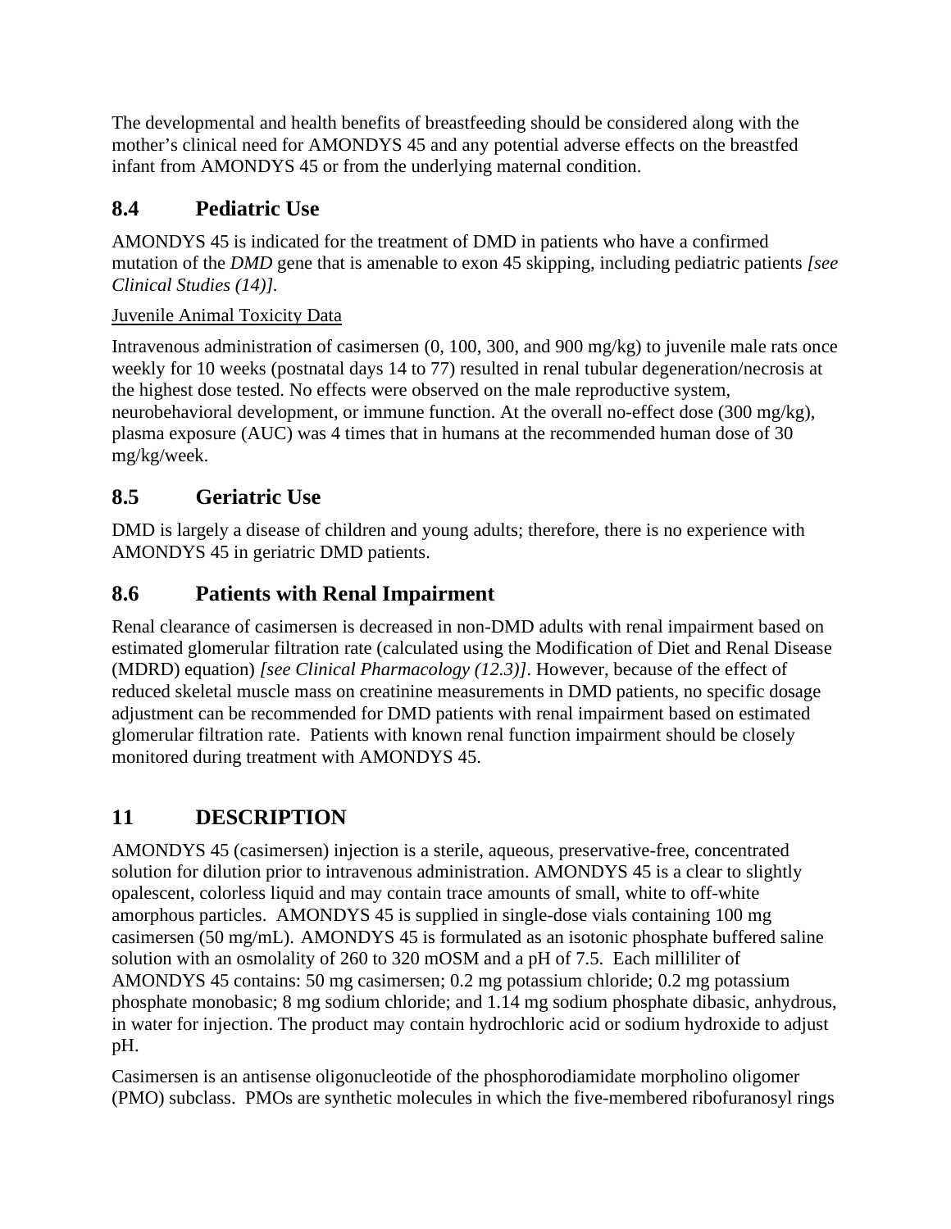The developmental and health benefits of breastfeeding should be considered along with the mother's clinical need for AMONDYS 45 and any potential adverse effects on the breastfed infant from AMONDYS 45 or from the underlying maternal condition.

## <span id="page-5-0"></span>**8.4 Pediatric Use**

AMONDYS 45 is indicated for the treatment of DMD in patients who have a confirmed mutation of the *DMD* gene that is amenable to exon 45 skipping, including pediatric patients *[see Clinical Studies (14)].*

## Juvenile Animal Toxicity Data

Intravenous administration of casimersen (0, 100, 300, and 900 mg/kg) to juvenile male rats once weekly for 10 weeks (postnatal days 14 to 77) resulted in renal tubular degeneration/necrosis at the highest dose tested. No effects were observed on the male reproductive system, neurobehavioral development, or immune function. At the overall no-effect dose (300 mg/kg), plasma exposure (AUC) was 4 times that in humans at the recommended human dose of 30 mg/kg/week.

# <span id="page-5-1"></span>**8.5 Geriatric Use**

DMD is largely a disease of children and young adults; therefore, there is no experience with AMONDYS 45 in geriatric DMD patients.

# <span id="page-5-2"></span>**8.6 Patients with Renal Impairment**

Renal clearance of casimersen is decreased in non-DMD adults with renal impairment based on estimated glomerular filtration rate (calculated using the Modification of Diet and Renal Disease (MDRD) equation) *[see Clinical Pharmacology (12.3)]*. However, because of the effect of reduced skeletal muscle mass on creatinine measurements in DMD patients, no specific dosage adjustment can be recommended for DMD patients with renal impairment based on estimated glomerular filtration rate. Patients with known renal function impairment should be closely monitored during treatment with AMONDYS 45.

# <span id="page-5-3"></span>**11 DESCRIPTION**

AMONDYS 45 (casimersen) injection is a sterile, aqueous, preservative-free, concentrated solution for dilution prior to intravenous administration. AMONDYS 45 is a clear to slightly opalescent, colorless liquid and may contain trace amounts of small, white to off-white amorphous particles. AMONDYS 45 is supplied in single-dose vials containing 100 mg casimersen (50 mg/mL). AMONDYS 45 is formulated as an isotonic phosphate buffered saline solution with an osmolality of 260 to 320 mOSM and a pH of 7.5. Each milliliter of AMONDYS 45 contains: 50 mg casimersen; 0.2 mg potassium chloride; 0.2 mg potassium phosphate monobasic; 8 mg sodium chloride; and 1.14 mg sodium phosphate dibasic, anhydrous, in water for injection. The product may contain hydrochloric acid or sodium hydroxide to adjust pH.

Casimersen is an antisense oligonucleotide of the phosphorodiamidate morpholino oligomer (PMO) subclass. PMOs are synthetic molecules in which the five-membered ribofuranosyl rings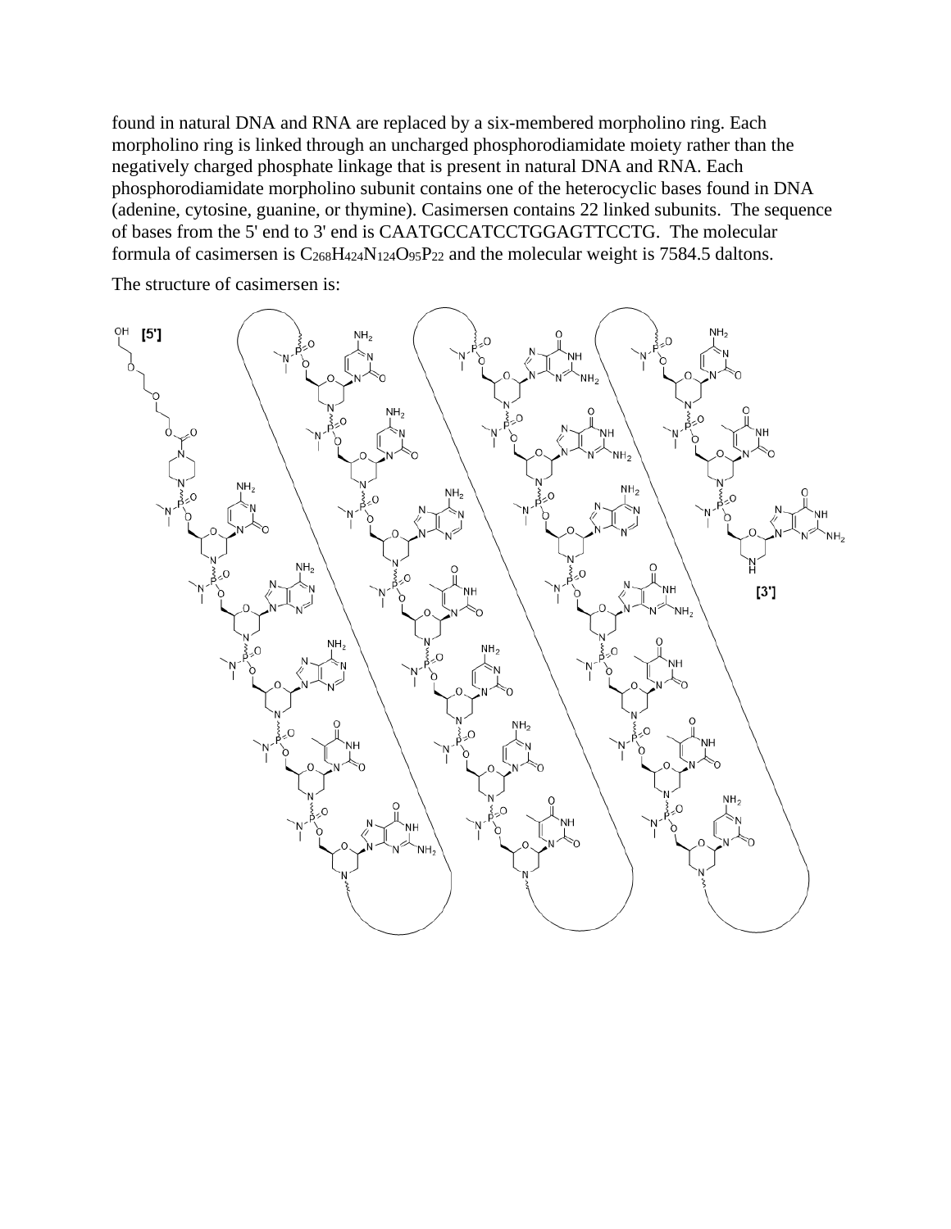found in natural DNA and RNA are replaced by a six-membered morpholino ring. Each morpholino ring is linked through an uncharged phosphorodiamidate moiety rather than the negatively charged phosphate linkage that is present in natural DNA and RNA. Each phosphorodiamidate morpholino subunit contains one of the heterocyclic bases found in DNA (adenine, cytosine, guanine, or thymine). Casimersen contains 22 linked subunits. The sequence of bases from the 5' end to 3' end is CAATGCCATCCTGGAGTTCCTG. The molecular formula of casimersen is  $C_{268}H_{424}N_{124}O_{95}P_{22}$  and the molecular weight is 7584.5 daltons.

The structure of casimersen is:

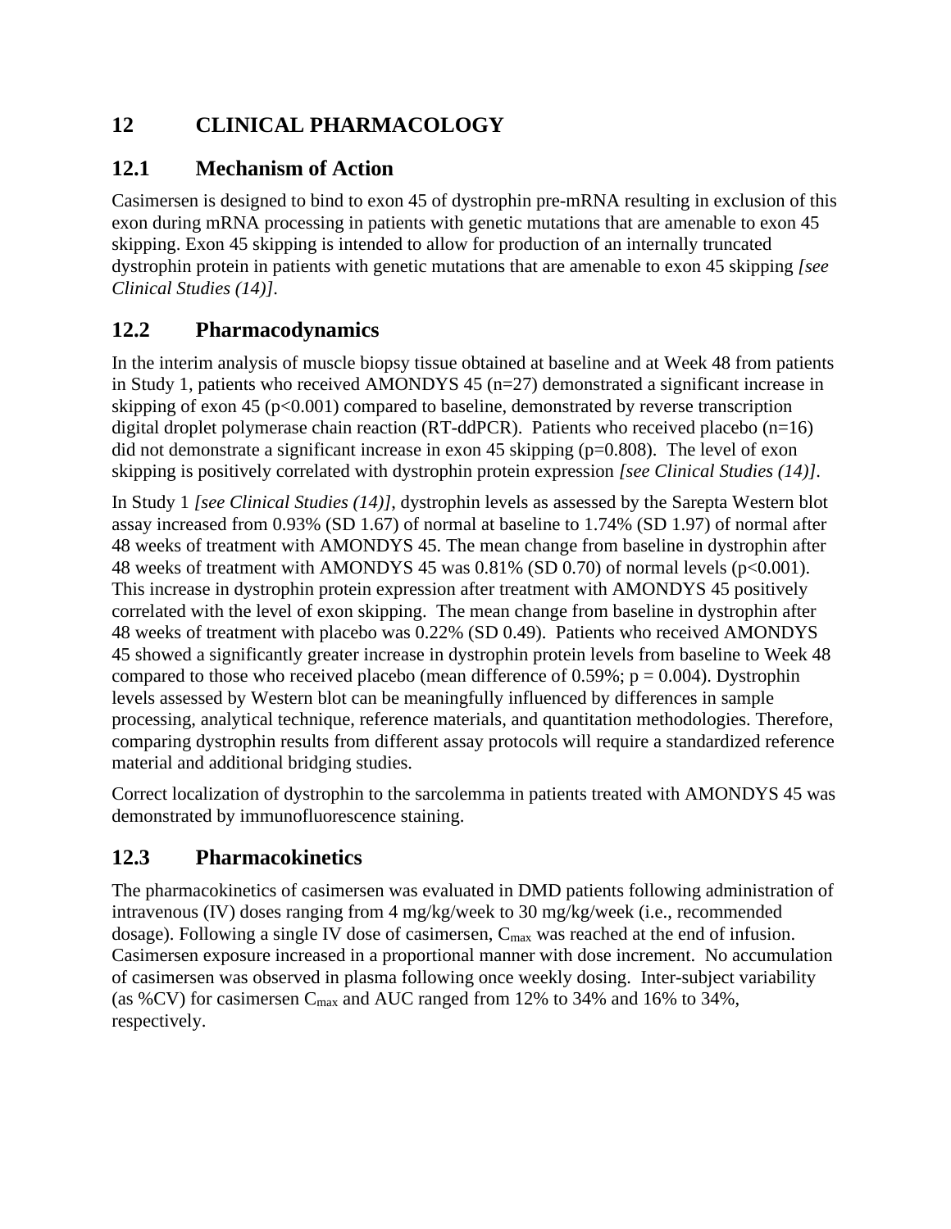# <span id="page-7-0"></span>**12 CLINICAL PHARMACOLOGY**

## <span id="page-7-1"></span>**12.1 Mechanism of Action**

<span id="page-7-2"></span>Casimersen is designed to bind to exon 45 of dystrophin pre-mRNA resulting in exclusion of this exon during mRNA processing in patients with genetic mutations that are amenable to exon 45 skipping. Exon 45 skipping is intended to allow for production of an internally truncated dystrophin protein in patients with genetic mutations that are amenable to exon 45 skipping *[see Clinical Studies (14)]*.

# **12.2 Pharmacodynamics**

In the interim analysis of muscle biopsy tissue obtained at baseline and at Week 48 from patients in Study 1, patients who received AMONDYS 45 (n=27) demonstrated a significant increase in skipping of exon 45 ( $p<0.001$ ) compared to baseline, demonstrated by reverse transcription digital droplet polymerase chain reaction (RT-ddPCR). Patients who received placebo  $(n=16)$ did not demonstrate a significant increase in exon 45 skipping (p=0.808). The level of exon skipping is positively correlated with dystrophin protein expression *[see Clinical Studies (14)]*.

In Study 1 *[see Clinical Studies (14)]*, dystrophin levels as assessed by the Sarepta Western blot assay increased from 0.93% (SD 1.67) of normal at baseline to 1.74% (SD 1.97) of normal after 48 weeks of treatment with AMONDYS 45. The mean change from baseline in dystrophin after 48 weeks of treatment with AMONDYS 45 was 0.81% (SD 0.70) of normal levels (p<0.001). This increase in dystrophin protein expression after treatment with AMONDYS 45 positively correlated with the level of exon skipping. The mean change from baseline in dystrophin after 48 weeks of treatment with placebo was 0.22% (SD 0.49). Patients who received AMONDYS 45 showed a significantly greater increase in dystrophin protein levels from baseline to Week 48 compared to those who received placebo (mean difference of 0.59%;  $p = 0.004$ ). Dystrophin levels assessed by Western blot can be meaningfully influenced by differences in sample processing, analytical technique, reference materials, and quantitation methodologies. Therefore, comparing dystrophin results from different assay protocols will require a standardized reference material and additional bridging studies.

Correct localization of dystrophin to the sarcolemma in patients treated with AMONDYS 45 was demonstrated by immunofluorescence staining.

# <span id="page-7-3"></span>**12.3 Pharmacokinetics**

The pharmacokinetics of casimersen was evaluated in DMD patients following administration of intravenous (IV) doses ranging from 4 mg/kg/week to 30 mg/kg/week (i.e., recommended dosage). Following a single IV dose of casimersen, C<sub>max</sub> was reached at the end of infusion. Casimersen exposure increased in a proportional manner with dose increment. No accumulation of casimersen was observed in plasma following once weekly dosing. Inter-subject variability (as %CV) for casimersen  $C_{\text{max}}$  and AUC ranged from 12% to 34% and 16% to 34%, respectively.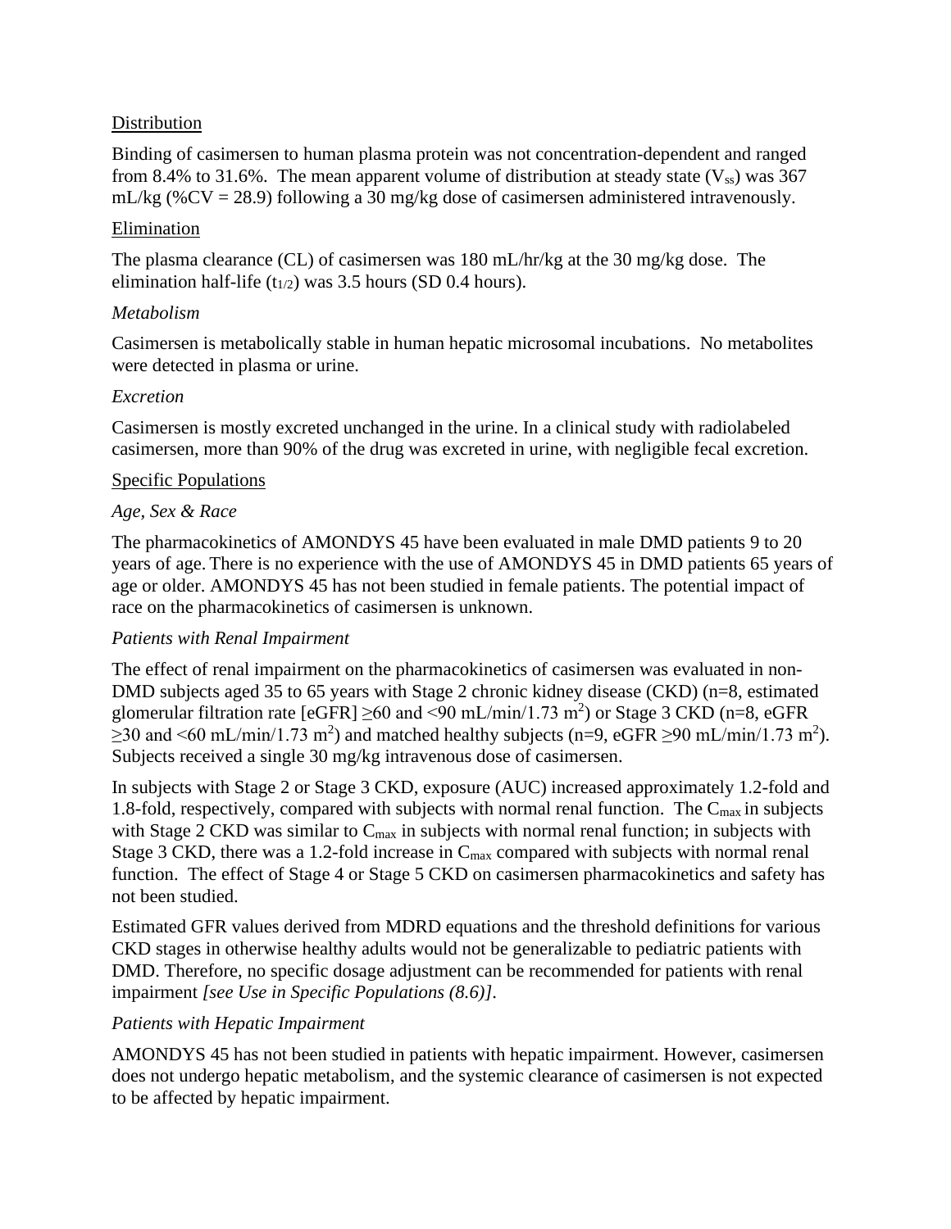#### Distribution

Binding of casimersen to human plasma protein was not concentration-dependent and ranged from 8.4% to 31.6%. The mean apparent volume of distribution at steady state  $(V_{ss})$  was 367 mL/kg (%CV = 28.9) following a 30 mg/kg dose of casimersen administered intravenously.

#### Elimination

The plasma clearance (CL) of casimersen was 180 mL/hr/kg at the 30 mg/kg dose. The elimination half-life  $(t_{1/2})$  was 3.5 hours (SD 0.4 hours).

#### *Metabolism*

Casimersen is metabolically stable in human hepatic microsomal incubations. No metabolites were detected in plasma or urine.

#### *Excretion*

Casimersen is mostly excreted unchanged in the urine. In a clinical study with radiolabeled casimersen, more than 90% of the drug was excreted in urine, with negligible fecal excretion.

#### Specific Populations

#### *Age, Sex & Race*

The pharmacokinetics of AMONDYS 45 have been evaluated in male DMD patients 9 to 20 years of age. There is no experience with the use of AMONDYS 45 in DMD patients 65 years of age or older. AMONDYS 45 has not been studied in female patients. The potential impact of race on the pharmacokinetics of casimersen is unknown.

#### *Patients with Renal Impairment*

The effect of renal impairment on the pharmacokinetics of casimersen was evaluated in non-DMD subjects aged 35 to 65 years with Stage 2 chronic kidney disease (CKD) (n=8, estimated glomerular filtration rate [eGFR]  $\geq 60$  and <90 mL/min/1.73 m<sup>2</sup>) or Stage 3 CKD (n=8, eGFR  $\geq$ 30 and <60 mL/min/1.73 m<sup>2</sup>) and matched healthy subjects (n=9, eGFR  $\geq$ 90 mL/min/1.73 m<sup>2</sup>). Subjects received a single 30 mg/kg intravenous dose of casimersen.

In subjects with Stage 2 or Stage 3 CKD, exposure (AUC) increased approximately 1.2-fold and 1.8-fold, respectively, compared with subjects with normal renal function. The  $C_{\text{max}}$  in subjects with Stage 2 CKD was similar to  $C_{\text{max}}$  in subjects with normal renal function; in subjects with Stage 3 CKD, there was a 1.2-fold increase in  $C_{\text{max}}$  compared with subjects with normal renal function. The effect of Stage 4 or Stage 5 CKD on casimersen pharmacokinetics and safety has not been studied.

Estimated GFR values derived from MDRD equations and the threshold definitions for various CKD stages in otherwise healthy adults would not be generalizable to pediatric patients with DMD. Therefore, no specific dosage adjustment can be recommended for patients with renal impairment *[see Use in Specific Populations (8.6)]*.

#### *Patients with Hepatic Impairment*

AMONDYS 45 has not been studied in patients with hepatic impairment. However, casimersen does not undergo hepatic metabolism, and the systemic clearance of casimersen is not expected to be affected by hepatic impairment.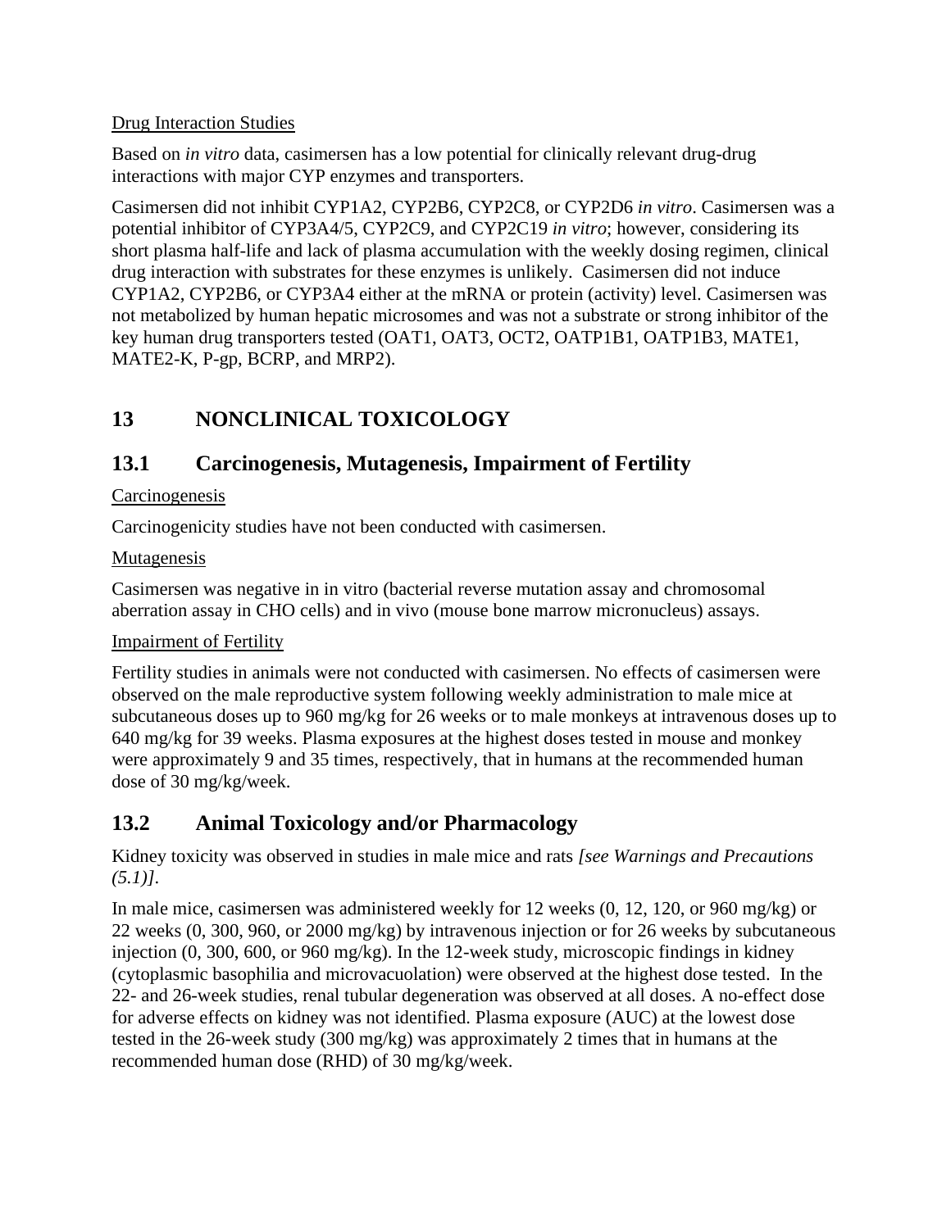#### Drug Interaction Studies

Based on *in vitro* data, casimersen has a low potential for clinically relevant drug-drug interactions with major CYP enzymes and transporters.

Casimersen did not inhibit CYP1A2, CYP2B6, CYP2C8, or CYP2D6 *in vitro*. Casimersen was a potential inhibitor of CYP3A4/5, CYP2C9, and CYP2C19 *in vitro*; however, considering its short plasma half-life and lack of plasma accumulation with the weekly dosing regimen, clinical drug interaction with substrates for these enzymes is unlikely. Casimersen did not induce CYP1A2, CYP2B6, or CYP3A4 either at the mRNA or protein (activity) level. Casimersen was not metabolized by human hepatic microsomes and was not a substrate or strong inhibitor of the key human drug transporters tested (OAT1, OAT3, OCT2, OATP1B1, OATP1B3, MATE1, MATE2-K, P-gp, BCRP, and MRP2).

# <span id="page-9-0"></span>**13 NONCLINICAL TOXICOLOGY**

# <span id="page-9-2"></span><span id="page-9-1"></span>**13.1 Carcinogenesis, Mutagenesis, Impairment of Fertility**

### Carcinogenesis

Carcinogenicity studies have not been conducted with casimersen.

#### **Mutagenesis**

Casimersen was negative in in vitro (bacterial reverse mutation assay and chromosomal aberration assay in CHO cells) and in vivo (mouse bone marrow micronucleus) assays.

### Impairment of Fertility

Fertility studies in animals were not conducted with casimersen. No effects of casimersen were observed on the male reproductive system following weekly administration to male mice at subcutaneous doses up to 960 mg/kg for 26 weeks or to male monkeys at intravenous doses up to 640 mg/kg for 39 weeks. Plasma exposures at the highest doses tested in mouse and monkey were approximately 9 and 35 times, respectively, that in humans at the recommended human dose of 30 mg/kg/week.

## <span id="page-9-3"></span>**13.2 Animal Toxicology and/or Pharmacology**

Kidney toxicity was observed in studies in male mice and rats *[see Warnings and Precautions (5.1)]*.

In male mice, casimersen was administered weekly for 12 weeks (0, 12, 120, or 960 mg/kg) or 22 weeks (0, 300, 960, or 2000 mg/kg) by intravenous injection or for 26 weeks by subcutaneous injection (0, 300, 600, or 960 mg/kg). In the 12-week study, microscopic findings in kidney (cytoplasmic basophilia and microvacuolation) were observed at the highest dose tested. In the 22- and 26-week studies, renal tubular degeneration was observed at all doses. A no-effect dose for adverse effects on kidney was not identified. Plasma exposure (AUC) at the lowest dose tested in the 26-week study (300 mg/kg) was approximately 2 times that in humans at the recommended human dose (RHD) of 30 mg/kg/week.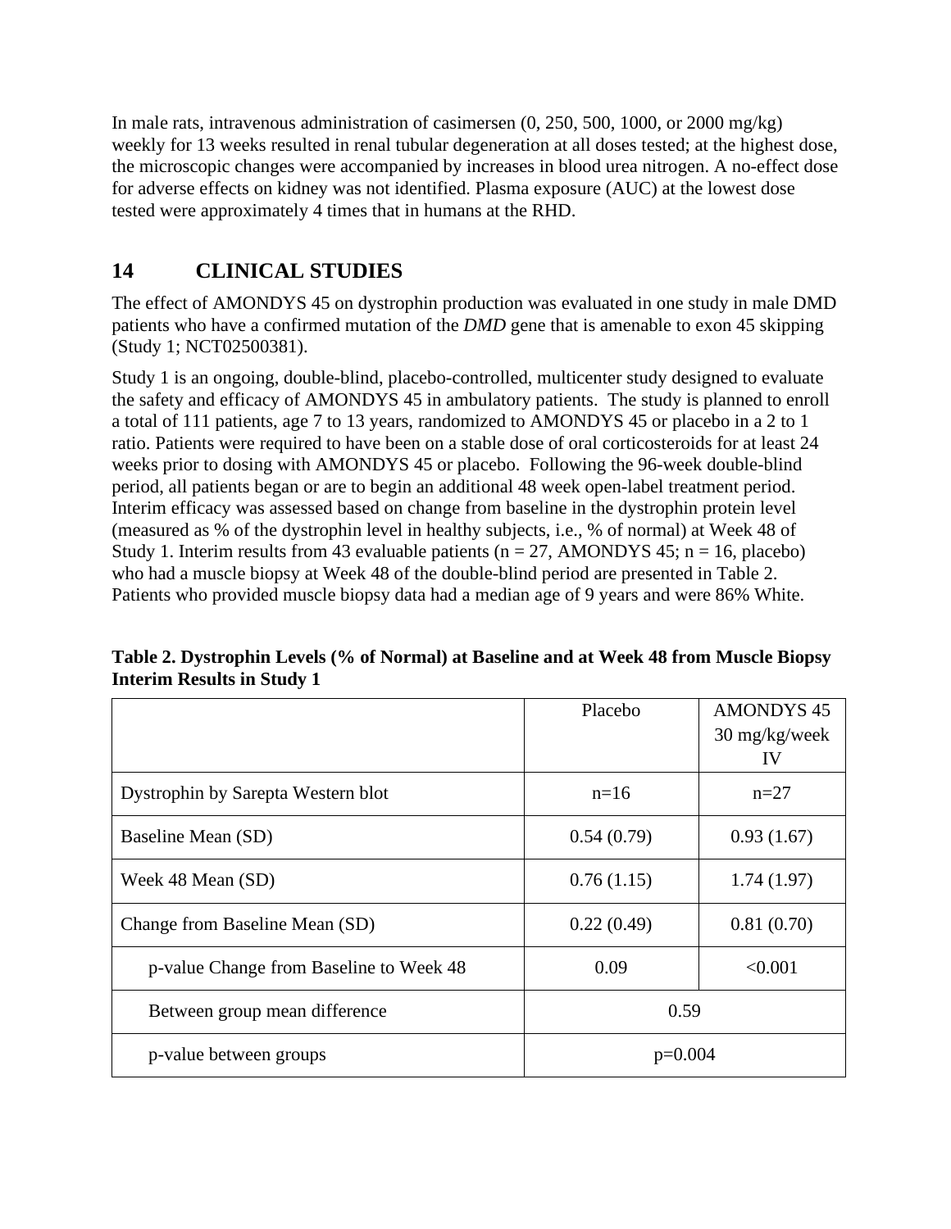In male rats, intravenous administration of casimersen (0, 250, 500, 1000, or 2000 mg/kg) weekly for 13 weeks resulted in renal tubular degeneration at all doses tested; at the highest dose, the microscopic changes were accompanied by increases in blood urea nitrogen. A no-effect dose for adverse effects on kidney was not identified. Plasma exposure (AUC) at the lowest dose tested were approximately 4 times that in humans at the RHD.

# **14 CLINICAL STUDIES**

The effect of AMONDYS 45 on dystrophin production was evaluated in one study in male DMD patients who have a confirmed mutation of the *DMD* gene that is amenable to exon 45 skipping (Study 1; NCT02500381).

Study 1 is an ongoing, double-blind, placebo-controlled, multicenter study designed to evaluate the safety and efficacy of AMONDYS 45 in ambulatory patients. The study is planned to enroll a total of 111 patients, age 7 to 13 years, randomized to AMONDYS 45 or placebo in a 2 to 1 ratio. Patients were required to have been on a stable dose of oral corticosteroids for at least 24 weeks prior to dosing with AMONDYS 45 or placebo. Following the 96-week double-blind period, all patients began or are to begin an additional 48 week open-label treatment period. Interim efficacy was assessed based on change from baseline in the dystrophin protein level (measured as % of the dystrophin level in healthy subjects, i.e., % of normal) at Week 48 of Study 1. Interim results from 43 evaluable patients ( $n = 27$ , AMONDYS 45;  $n = 16$ , placebo) who had a muscle biopsy at Week 48 of the double-blind period are presented in Table 2. Patients who provided muscle biopsy data had a median age of 9 years and were 86% White.

|                                         | Placebo    | <b>AMONDYS 45</b>       |
|-----------------------------------------|------------|-------------------------|
|                                         |            | $30 \text{ mg/kg/week}$ |
|                                         |            | IV                      |
| Dystrophin by Sarepta Western blot      | $n=16$     | $n=27$                  |
| Baseline Mean (SD)                      | 0.54(0.79) | 0.93(1.67)              |
| Week 48 Mean (SD)                       | 0.76(1.15) | 1.74(1.97)              |
| Change from Baseline Mean (SD)          | 0.22(0.49) | 0.81(0.70)              |
| p-value Change from Baseline to Week 48 | 0.09       | < 0.001                 |
| Between group mean difference           | 0.59       |                         |
| p-value between groups                  | $p=0.004$  |                         |

**Table 2. Dystrophin Levels (% of Normal) at Baseline and at Week 48 from Muscle Biopsy Interim Results in Study 1**